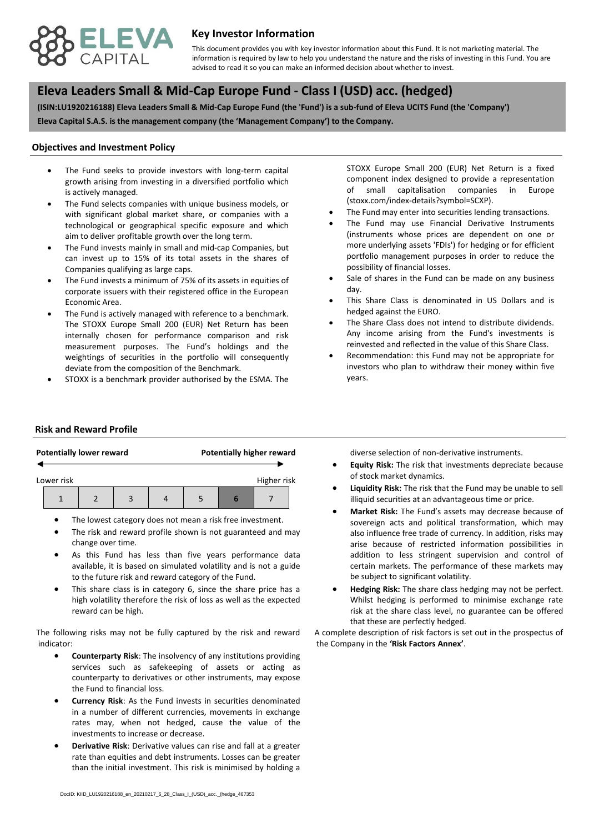

## **Key Investor Information**

advised to read it so you can make an informed decision about whether to invest. This document provides you with key investor information about this Fund. It is not marketing material. The information is required by law to help you understand the nature and the risks of investing in this Fund. You are

# **, Eleva Leaders Small & Mid-Cap Europe Fund - Class I (USD) acc. (hedged)**

**(ISIN:LU1920216188) Eleva Leaders Small & Mid-Cap Europe Fund (the 'Fund') is a sub-fund of Eleva UCITS Fund (the 'Company') Eleva Capital S.A.S. is the management company (the 'Management Company') to the Company.**

#### **Objectives and Investment Policy**

- is actively managed. The Fund seeks to provide investors with long-term capital growth arising from investing in a diversified portfolio which
- The Fund selects companies with unique business models, or with significant global market share, or companies with a technological or geographical specific exposure and which aim to deliver profitable growth over the long term.
- The Fund invests mainly in small and mid-cap Companies, but can invest up to 15% of its total assets in the shares of Companies qualifying as large caps.
- The Fund invests a minimum of 75% of its assets in equities of corporate issuers with their registered office in the European Economic Area.
- The Fund is actively managed with reference to a benchmark. The STOXX Europe Small 200 (EUR) Net Return has been internally chosen for performance comparison and risk measurement purposes. The Fund's holdings and the weightings of securities in the portfolio will consequently deviate from the composition of the Benchmark.
- STOXX is a benchmark provider authorised by the ESMA. The

STOXX Europe Small 200 (EUR) Net Return is a fixed component index designed to provide a representation of small capitalisation companies in Europe (stoxx.com/index-details?symbol=SCXP).

- The Fund may enter into securities lending transactions.
- The Fund may use Financial Derivative Instruments (instruments whose prices are dependent on one or more underlying assets 'FDIs') for hedging or for efficient portfolio management purposes in order to reduce the possibility of financial losses.
- Sale of shares in the Fund can be made on any business day.
- This Share Class is denominated in US Dollars and is hedged against the EURO.
- The Share Class does not intend to distribute dividends. Any income arising from the Fund's investments is reinvested and reflected in the value of this Share Class.
- Recommendation: this Fund may not be appropriate for investors who plan to withdraw their money within five years.

#### **Risk and Reward Profile**

|            | <b>Potentially lower reward</b> |                | <b>Potentially higher reward</b> |  |             |  |
|------------|---------------------------------|----------------|----------------------------------|--|-------------|--|
| Lower risk |                                 |                |                                  |  | Higher risk |  |
|            |                                 | $\overline{a}$ |                                  |  |             |  |

- The lowest category does not mean a risk free investment.
- The risk and reward profile shown is not guaranteed and may change over time.
- As this Fund has less than five years performance data available, it is based on simulated volatility and is not a guide to the future risk and reward category of the Fund.
- This share class is in category 6, since the share price has a high volatility therefore the risk of loss as well as the expected reward can be high.

The following risks may not be fully captured by the risk and reward indicator:

- **Counterparty Risk**: The insolvency of any institutions providing services such as safekeeping of assets or acting as counterparty to derivatives or other instruments, may expose the Fund to financial loss.
- **Currency Risk**: As the Fund invests in securities denominated in a number of different currencies, movements in exchange rates may, when not hedged, cause the value of the investments to increase or decrease.
- **Derivative Risk**: Derivative values can rise and fall at a greater rate than equities and debt instruments. Losses can be greater than the initial investment. This risk is minimised by holding a

diverse selection of non-derivative instruments.

- **Equity Risk:** The risk that investments depreciate because of stock market dynamics.
- **Liquidity Risk:** The risk that the Fund may be unable to sell illiquid securities at an advantageous time or price.
- **Market Risk:** The Fund's assets may decrease because of sovereign acts and political transformation, which may also influence free trade of currency. In addition, risks may arise because of restricted information possibilities in addition to less stringent supervision and control of certain markets. The performance of these markets may be subject to significant volatility.
- **Hedging Risk:** The share class hedging may not be perfect. Whilst hedging is performed to minimise exchange rate risk at the share class level, no guarantee can be offered that these are perfectly hedged.

A complete description of risk factors is set out in the prospectus of the Company in the **'Risk Factors Annex'**.